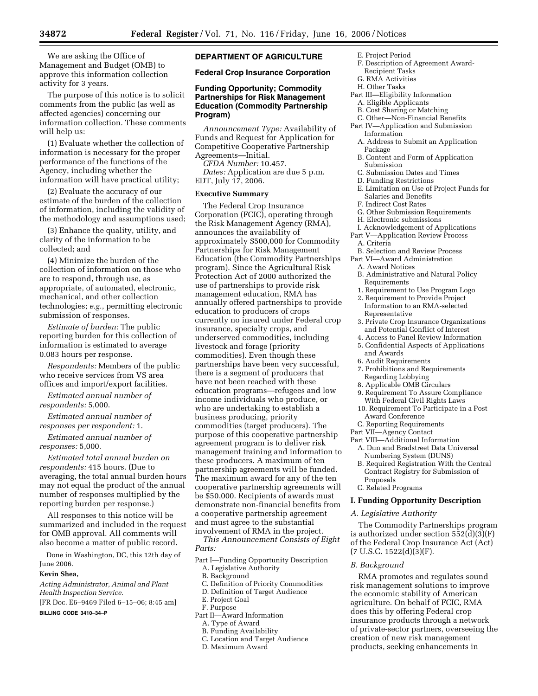We are asking the Office of Management and Budget (OMB) to approve this information collection activity for 3 years.

The purpose of this notice is to solicit comments from the public (as well as affected agencies) concerning our information collection. These comments will help us:

(1) Evaluate whether the collection of information is necessary for the proper performance of the functions of the Agency, including whether the information will have practical utility;

(2) Evaluate the accuracy of our estimate of the burden of the collection of information, including the validity of the methodology and assumptions used;

(3) Enhance the quality, utility, and clarity of the information to be collected; and

(4) Minimize the burden of the collection of information on those who are to respond, through use, as appropriate, of automated, electronic, mechanical, and other collection technologies; *e.g.*, permitting electronic submission of responses.

*Estimate of burden:* The public reporting burden for this collection of information is estimated to average 0.083 hours per response.

*Respondents:* Members of the public who receive services from VS area offices and import/export facilities.

*Estimated annual number of respondents:* 5,000.

*Estimated annual number of responses per respondent:* 1.

*Estimated annual number of responses:* 5,000.

*Estimated total annual burden on respondents:* 415 hours. (Due to averaging, the total annual burden hours may not equal the product of the annual number of responses multiplied by the reporting burden per response.)

All responses to this notice will be summarized and included in the request for OMB approval. All comments will also become a matter of public record.

Done in Washington, DC, this 12th day of June 2006.

### **Kevin Shea,**

*Acting Administrator, Animal and Plant Health Inspection Service.* 

[FR Doc. E6–9469 Filed 6–15–06; 8:45 am] **BILLING CODE 3410–34–P** 

# **DEPARTMENT OF AGRICULTURE**

### **Federal Crop Insurance Corporation**

# **Funding Opportunity; Commodity Partnerships for Risk Management Education (Commodity Partnership Program)**

*Announcement Type:* Availability of Funds and Request for Application for Competitive Cooperative Partnership Agreements—Initial.

*CFDA Number:* 10.457.

*Dates:* Application are due 5 p.m. EDT, July 17, 2006.

#### **Executive Summary**

The Federal Crop Insurance Corporation (FCIC), operating through the Risk Management Agency (RMA), announces the availability of approximately \$500,000 for Commodity Partnerships for Risk Management Education (the Commodity Partnerships program). Since the Agricultural Risk Protection Act of 2000 authorized the use of partnerships to provide risk management education, RMA has annually offered partnerships to provide education to producers of crops currently no insured under Federal crop insurance, specialty crops, and underserved commodities, including livestock and forage (priority commodities). Even though these partnerships have been very successful, there is a segment of producers that have not been reached with these education programs—refugees and low income individuals who produce, or who are undertaking to establish a business producing, priority commodities (target producers). The purpose of this cooperative partnership agreement program is to deliver risk management training and information to these producers. A maximum of ten partnership agreements will be funded. The maximum award for any of the ten cooperative partnership agreements will be \$50,000. Recipients of awards must demonstrate non-financial benefits from a cooperative partnership agreement and must agree to the substantial involvement of RMA in the project.

*This Announcement Consists of Eight Parts:* 

- Part I—Funding Opportunity Description
	- A. Legislative Authority
	- B. Background
	- C. Definition of Priority Commodities
	- D. Definition of Target Audience
	- E. Project Goal
- F. Purpose
- Part II—Award Information
	- A. Type of Award
	- B. Funding Availability
	- C. Location and Target Audience
	- D. Maximum Award
- E. Project Period
- F. Description of Agreement Award-Recipient Tasks
- G. RMA Activities
- H. Other Tasks
- Part III—Eligibility Information
- A. Eligible Applicants
- B. Cost Sharing or Matching
- C. Other—Non-Financial Benefits Part IV—Application and Submission
	- Information A. Address to Submit an Application Package
	- B. Content and Form of Application Submission
	- C. Submission Dates and Times
- D. Funding Restrictions
- E. Limitation on Use of Project Funds for Salaries and Benefits
- F. Indirect Cost Rates
- G. Other Submission Requirements
- H. Electronic submissions
- I. Acknowledgement of Applications
- Part V—Application Review Process A. Criteria
- B. Selection and Review Process
- Part VI—Award Administration
	- A. Award Notices
	- B. Administrative and Natural Policy Requirements
	- 1. Requirement to Use Program Logo
	- 2. Requirement to Provide Project Information to an RMA-selected Representative
	- 3. Private Crop Insurance Organizations and Potential Conflict of Interest
	- 4. Access to Panel Review Information
	- 5. Confidential Aspects of Applications
	- and Awards
	- 6. Audit Requirements
	- 7. Prohibitions and Requirements Regarding Lobbying
	- 8. Applicable OMB Circulars
	- 9. Requirement To Assure Compliance With Federal Civil Rights Laws
	- 10. Requirement To Participate in a Post Award Conference
- C. Reporting Requirements
- Part VII—Agency Contact
- Part VIII—Additional Information A. Dun and Bradstreet Data Universal Numbering System (DUNS)
- B. Required Registration With the Central Contract Registry for Submission of Proposals
- C. Related Programs

#### **I. Funding Opportunity Description**

#### *A. Legislative Authority*

The Commodity Partnerships program is authorized under section 552(d)(3)(F) of the Federal Crop Insurance Act (Act)  $(7 \text{ U.S.C. } 1522 \text{ (d)}(3) \text{ (F)}.$ 

### *B. Background*

RMA promotes and regulates sound risk management solutions to improve the economic stability of American agriculture. On behalf of FCIC, RMA does this by offering Federal crop insurance products through a network of private-sector partners, overseeing the creation of new risk management products, seeking enhancements in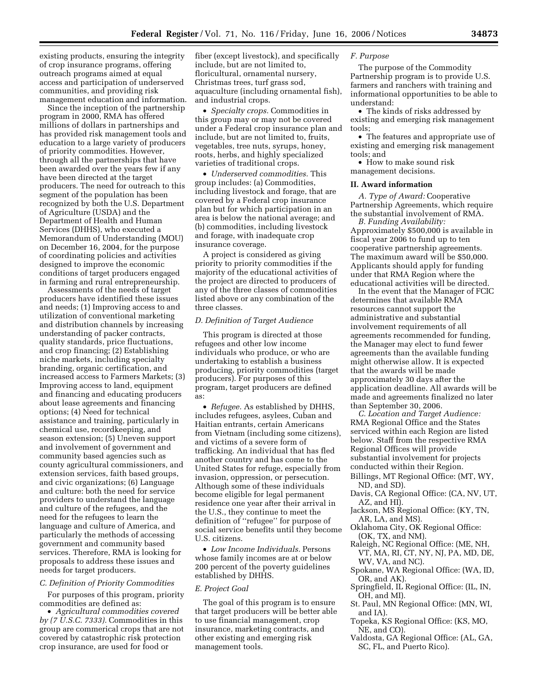existing products, ensuring the integrity of crop insurance programs, offering outreach programs aimed at equal access and participation of underserved communities, and providing risk management education and information.

Since the inception of the partnership program in 2000, RMA has offered millions of dollars in partnerships and has provided risk management tools and education to a large variety of producers of priority commodities. However, through all the partnerships that have been awarded over the years few if any have been directed at the target producers. The need for outreach to this segment of the population has been recognized by both the U.S. Department of Agriculture (USDA) and the Department of Health and Human Services (DHHS), who executed a Memorandum of Understanding (MOU) on December 16, 2004, for the purpose of coordinating policies and activities designed to improve the economic conditions of target producers engaged in farming and rural entrepreneurship.

Assessments of the needs of target producers have identified these issues and needs; (1) Improving access to and utilization of conventional marketing and distribution channels by increasing understanding of packer contracts, quality standards, price fluctuations, and crop financing; (2) Establishing niche markets, including specialty branding, organic certification, and increased access to Farmers Markets; (3) Improving access to land, equipment and financing and educating producers about lease agreements and financing options; (4) Need for technical assistance and training, particularly in chemical use, recordkeeping, and season extension; (5) Uneven support and involvement of government and community based agencies such as county agricultural commissioners, and extension services, faith based groups, and civic organizations; (6) Language and culture: both the need for service providers to understand the language and culture of the refugees, and the need for the refugees to learn the language and culture of America, and particularly the methods of accessing government and community based services. Therefore, RMA is looking for proposals to address these issues and needs for target producers.

#### *C. Definition of Priority Commodities*

For purposes of this program, priority commodities are defined as:

• *Agricultural commodities covered by (7 U.S.C. 7333).* Commodities in this group are commerical crops that are not covered by catastrophic risk protection crop insurance, are used for food or

fiber (except livestock), and specifically include, but are not limited to, floricultural, ornamental nursery, Christmas trees, turf grass sod, aquaculture (including ornamental fish), and industrial crops.

• *Specialty crops.* Commodities in this group may or may not be covered under a Federal crop insurance plan and include, but are not limited to, fruits, vegetables, tree nuts, syrups, honey, roots, herbs, and highly specialized varieties of traditional crops.

• *Underserved commodities.* This group includes: (a) Commodities, including livestock and forage, that are covered by a Federal crop insurance plan but for which participation in an area is below the national average; and (b) commodities, including livestock and forage, with inadequate crop insurance coverage.

A project is considered as giving priority to priority commodities if the majority of the educational activities of the project are directed to producers of any of the three classes of commodities listed above or any combination of the three classes.

### *D. Definition of Target Audience*

This program is directed at those refugees and other low income individuals who produce, or who are undertaking to establish a business producing, priority commodities (target producers). For purposes of this program, target producers are defined as:

• *Refugee.* As established by DHHS, includes refugees, asylees, Cuban and Haitian entrants, certain Americans from Vietnam (including some citizens), and victims of a severe form of trafficking. An individual that has fled another country and has come to the United States for refuge, especially from invasion, oppression, or persecution. Although some of these individuals become eligible for legal permanent residence one year after their arrival in the U.S., they continue to meet the definition of ''refugee'' for purpose of social service benefits until they become U.S. citizens.

• *Low Income Individuals.* Persons whose family incomes are at or below 200 percent of the poverty guidelines established by DHHS.

#### *E. Project Goal*

The goal of this program is to ensure that target producers will be better able to use financial management, crop insurance, marketing contracts, and other existing and emerging risk management tools.

#### *F. Purpose*

The purpose of the Commodity Partnership program is to provide U.S. farmers and ranchers with training and informational opportunities to be able to understand:

• The kinds of risks addressed by existing and emerging risk management tools;

• The features and appropriate use of existing and emerging risk management tools; and

• How to make sound risk management decisions.

#### **II. Award information**

*A. Type of Award:* Cooperative Partnership Agreements, which require the substantial involvement of RMA.

*B. Funding Availability:*  Approximately \$500,000 is available in fiscal year 2006 to fund up to ten cooperative partnership agreements. The maximum award will be \$50,000. Applicants should apply for funding under that RMA Region where the educational activities will be directed.

In the event that the Manager of FCIC determines that available RMA resources cannot support the administrative and substantial involvement requirements of all agreements recommended for funding, the Manager may elect to fund fewer agreements than the available funding might otherwise allow. It is expected that the awards will be made approximately 30 days after the application deadline. All awards will be made and agreements finalized no later than September 30, 2006.

*C. Location and Target Audience:*  RMA Regional Office and the States serviced within each Region are listed below. Staff from the respective RMA Regional Offices will provide substantial involvement for projects conducted within their Region.

- Billings, MT Regional Office: (MT, WY, ND, and SD).
- Davis, CA Regional Office: (CA, NV, UT, AZ, and HI).
- Jackson, MS Regional Office: (KY, TN, AR, LA, and MS).
- Oklahoma City, OK Regional Office: (OK, TX, and NM).
- Raleigh, NC Regional Office: (ME, NH, VT, MA, RI, CT, NY, NJ, PA, MD, DE, WV, VA, and NC).
- Spokane, WA Regional Office: (WA, ID, OR, and AK).
- Springfield, IL Regional Office: (IL, IN, OH, and MI).
- St. Paul, MN Regional Office: (MN, WI, and IA).
- Topeka, KS Regional Office: (KS, MO, NE, and CO).
- Valdosta, GA Regional Office: (AL, GA, SC, FL, and Puerto Rico).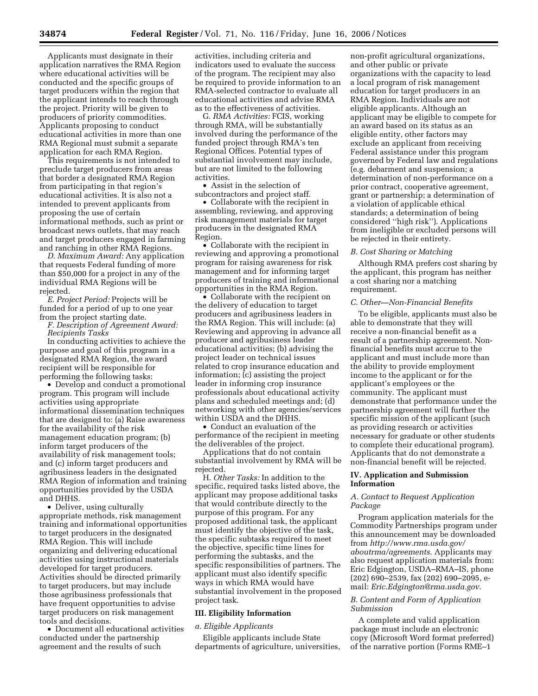Applicants must designate in their application narratives the RMA Region where educational activities will be conducted and the specific groups of target producers within the region that the applicant intends to reach through the project. Priority will be given to producers of priority commodities. Applicants proposing to conduct educational activities in more than one RMA Regional must submit a separate application for each RMA Region.

This requirements is not intended to preclude target producers from areas that border a designated RMA Region from participating in that region's educational activities. It is also not a intended to prevent applicants from proposing the use of certain informational methods, such as print or broadcast news outlets, that may reach and target producers engaged in farming and ranching in other RMA Regions.

*D. Maximum Award:* Any application that requests Federal funding of more than \$50,000 for a project in any of the individual RMA Regions will be rejected.

*E. Project Period:* Projects will be funded for a period of up to one year from the project starting date.

*F. Description of Agreement Award: Recipients Tasks* 

In conducting activities to achieve the purpose and goal of this program in a designated RMA Region, the award recipient will be responsible for performing the following tasks:

• Develop and conduct a promotional program. This program will include activities using appropriate informational dissemination techniques that are designed to: (a) Raise awareness for the availability of the risk management education program; (b) inform target producers of the availability of risk management tools; and (c) inform target producers and agribusiness leaders in the designated RMA Region of information and training opportunities provided by the USDA and DHHS.

• Deliver, using culturally appropriate methods, risk management training and informational opportunities to target producers in the designated RMA Region. This will include organizing and delivering educational activities using instructional materials developed for target producers. Activities should be directed primarily to target producers, but may include those agribusiness professionals that have frequent opportunities to advise target producers on risk management tools and decisions.

• Document all educational activities conducted under the partnership agreement and the results of such

activities, including criteria and indicators used to evaluate the success of the program. The recipient may also be required to provide information to an RMA-selected contractor to evaluate all educational activities and advise RMA as to the effectiveness of activities.

G. *RMA Activities:* FCIS, working through RMA, will be substantially involved during the performance of the funded project through RMA's ten Regional Offices. Potential types of substantial involvement may include, but are not limited to the following activities.

• Assist in the selection of subcontractors and project staff.

• Collaborate with the recipient in assembling, reviewing, and approving risk management materials for target producers in the designated RMA Region.

• Collaborate with the recipient in reviewing and approving a promotional program for raising awareness for risk management and for informing target producers of training and informational opportunities in the RMA Region.

• Collaborate with the recipient on the delivery of education to target producers and agribusiness leaders in the RMA Region. This will include: (a) Reviewing and approving in advance all producer and agribusiness leader educational activities; (b) advising the project leader on technical issues related to crop insurance education and information; (c) assisting the project leader in informing crop insurance professionals about educational activity plans and scheduled meetings and; (d) networking with other agencies/services within USDA and the DHHS.

• Conduct an evaluation of the performance of the recipient in meeting the deliverables of the project.

Applications that do not contain substantial involvement by RMA will be rejected.

H. *Other Tasks:* In addition to the specific, required tasks listed above, the applicant may propose additional tasks that would contribute directly to the purpose of this program. For any proposed additional task, the applicant must identify the objective of the task, the specific subtasks required to meet the objective, specific time lines for performing the subtasks, and the specific responsibilities of partners. The applicant must also identify specific ways in which RMA would have substantial involvement in the proposed project task.

#### **III. Eligibility Information**

### *a. Eligible Applicants*

Eligible applicants include State departments of agriculture, universities,

non-profit agricultural organizations, and other public or private organizations with the capacity to lead a local program of risk management education for target producers in an RMA Region. Individuals are not eligible applicants. Although an applicant may be eligible to compete for an award based on its status as an eligible entity, other factors may exclude an applicant from receiving Federal assistance under this program governed by Federal law and regulations (e.g. debarment and suspension; a determination of non-performance on a prior contract, cooperative agreement, grant or partnership; a determination of a violation of applicable ethical standards; a determination of being considered ''high risk''). Applications from ineligible or excluded persons will be rejected in their entirety.

### *B. Cost Sharing or Matching*

Although RMA prefers cost sharing by the applicant, this program has neither a cost sharing nor a matching requirement.

### *C. Other—Non-Financial Benefits*

To be eligible, applicants must also be able to demonstrate that they will receive a non-financial benefit as a result of a partnership agreement. Nonfinancial benefits must accrue to the applicant and must include more than the ability to provide employment income to the applicant or for the applicant's employees or the community. The applicant must demonstrate that performance under the partnership agreement will further the specific mission of the applicant (such as providing research or activities necessary for graduate or other students to complete their educational program). Applicants that do not demonstrate a non-financial benefit will be rejected.

### **IV. Application and Submission Information**

## *A. Contact to Request Application Package*

Program application materials for the Commodity Partnerships program under this announcement may be downloaded from *http://www.rma.usda.gov/ aboutrma/agreements*. Applicants may also request application materials from: Eric Edgington, USDA–RMA–IS, phone (202) 690–2539, fax (202) 690–2095, email: *Eric.Edgington@rma.usda.gov*.

# *B. Content and Form of Application Submission*

A complete and valid application package must include an electronic copy (Microsoft Word format preferred) of the narrative portion (Forms RME–1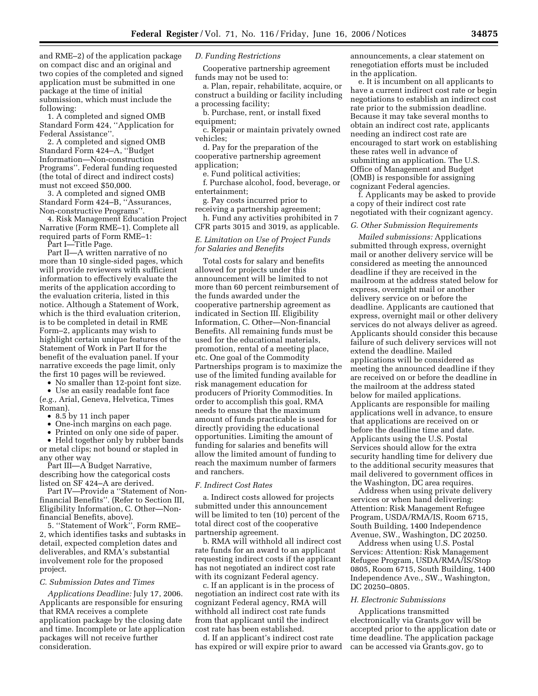and RME–2) of the application package on compact disc and an original and two copies of the completed and signed application must be submitted in one package at the time of initial submission, which must include the following:

1. A completed and signed OMB Standard Form 424, ''Application for Federal Assistance''.

2. A completed and signed OMB Standard Form 424–A, ''Budget Information—Non-construction Programs''. Federal funding requested (the total of direct and indirect costs) must not exceed \$50,000.

3. A completed and signed OMB Standard Form 424–B, ''Assurances, Non-constructive Programs''.

4. Risk Management Education Project Narrative (Form RME–1). Complete all required parts of Form RME–1:

Part I—Title Page.

Part II—A written narrative of no more than 10 single-sided pages, which will provide reviewers with sufficient information to effectively evaluate the merits of the application according to the evaluation criteria, listed in this notice. Although a Statement of Work, which is the third evaluation criterion, is to be completed in detail in RME Form–2, applicants may wish to highlight certain unique features of the Statement of Work in Part II for the benefit of the evaluation panel. If your narrative exceeds the page limit, only the first 10 pages will be reviewed.

• No smaller than 12-point font size.

• Use an easily readable font face (*e.g.,* Arial, Geneva, Helvetica, Times Roman).

• 8.5 by 11 inch paper

• One-inch margins on each page.

• Printed on only one side of paper.

• Held together only by rubber bands or metal clips; not bound or stapled in any other way

Part III—A Budget Narrative, describing how the categorical costs listed on SF 424–A are derived.

Part IV—Provide a ''Statement of Nonfinancial Benefits''. (Refer to Section III, Eligibility Information, C. Other—Nonfinancial Benefits, above).

5. ''Statement of Work'', Form RME– 2, which identifies tasks and subtasks in detail, expected completion dates and deliverables, and RMA's substantial involvement role for the proposed project.

#### *C. Submission Dates and Times*

*Applications Deadline:* July 17, 2006. Applicants are responsible for ensuring that RMA receives a complete application package by the closing date and time. Incomplete or late application packages will not receive further consideration.

### *D. Funding Restrictions*

Cooperative partnership agreement funds may not be used to:

a. Plan, repair, rehabilitate, acquire, or construct a building or facility including a processing facility;

b. Purchase, rent, or install fixed equipment:

c. Repair or maintain privately owned vehicles;

d. Pay for the preparation of the cooperative partnership agreement application;

e. Fund political activities;

f. Purchase alcohol, food, beverage, or entertainment;

g. Pay costs incurred prior to receiving a partnership agreement;

h. Fund any activities prohibited in 7 CFR parts 3015 and 3019, as applicable.

# *E. Limitation on Use of Project Funds for Salaries and Benefits*

Total costs for salary and benefits allowed for projects under this announcement will be limited to not more than 60 percent reimbursement of the funds awarded under the cooperative partnership agreement as indicated in Section III. Eligibility Information, C. Other—Non-financial Benefits. All remaining funds must be used for the educational materials, promotion, rental of a meeting place, etc. One goal of the Commodity Partnerships program is to maximize the use of the limited funding available for risk management education for producers of Priority Commodities. In order to accomplish this goal, RMA needs to ensure that the maximum amount of funds practicable is used for directly providing the educational opportunities. Limiting the amount of funding for salaries and benefits will allow the limited amount of funding to reach the maximum number of farmers and ranchers.

# *F. Indirect Cost Rates*

a. Indirect costs allowed for projects submitted under this announcement will be limited to ten (10) percent of the total direct cost of the cooperative partnership agreement.

b. RMA will withhold all indirect cost rate funds for an award to an applicant requesting indirect costs if the applicant has not negotiated an indirect cost rate with its cognizant Federal agency.

c. If an applicant is in the process of negotiation an indirect cost rate with its cognizant Federal agency, RMA will withhold all indirect cost rate funds from that applicant until the indirect cost rate has been established.

d. If an applicant's indirect cost rate has expired or will expire prior to award announcements, a clear statement on renegotiation efforts must be included in the application.

e. It is incumbent on all applicants to have a current indirect cost rate or begin negotiations to establish an indirect cost rate prior to the submission deadline. Because it may take several months to obtain an indirect cost rate, applicants needing an indirect cost rate are encouraged to start work on establishing these rates well in advance of submitting an application. The U.S. Office of Management and Budget (OMB) is responsible for assigning cognizant Federal agencies.

f. Applicants may be asked to provide a copy of their indirect cost rate negotiated with their cognizant agency.

### *G. Other Submission Requirements*

*Mailed submissions:* Applications submitted through express, overnight mail or another delivery service will be considered as meeting the announced deadline if they are received in the mailroom at the address stated below for express, overnight mail or another delivery service on or before the deadline. Applicants are cautioned that express, overnight mail or other delivery services do not always deliver as agreed. Applicants should consider this because failure of such delivery services will not extend the deadline. Mailed applications will be considered as meeting the announced deadline if they are received on or before the deadline in the mailroom at the address stated below for mailed applications. Applicants are responsible for mailing applications well in advance, to ensure that applications are received on or before the deadline time and date. Applicants using the U.S. Postal Services should allow for the extra security handling time for delivery due to the additional security measures that mail delivered to government offices in the Washington, DC area requires.

Address when using private delivery services or when hand delivering: Attention: Risk Management Refugee Program, USDA/RMA/IS, Room 6715, South Building, 1400 Independence Avenue, SW., Washington, DC 20250.

Address when using U.S. Postal Services: Attention: Risk Management Refugee Program, USDA/RMA/IS/Stop 0805, Room 6715, South Building, 1400 Independence Ave., SW., Washington, DC 20250–0805.

#### *H. Electronic Submissions*

Applications transmitted electronically via Grants.gov will be accepted prior to the application date or time deadline. The application package can be accessed via Grants.gov, go to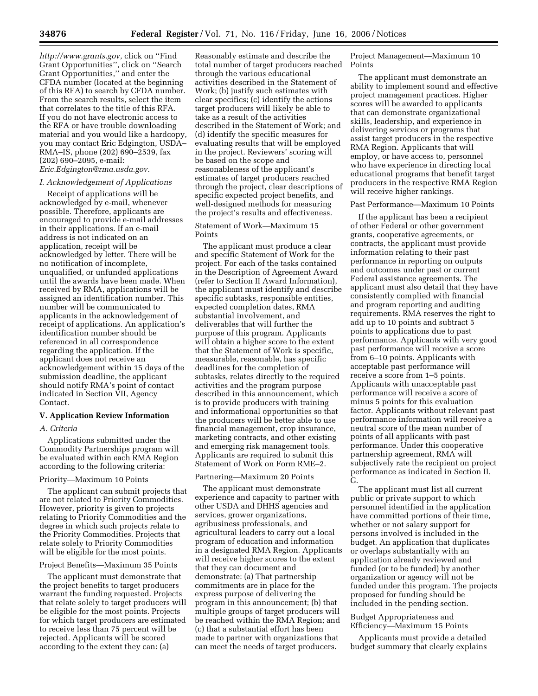*http://www.grants.gov,* click on ''Find Grant Opportunities'', click on ''Search Grant Opportunities,'' and enter the CFDA number (located at the beginning of this RFA) to search by CFDA number. From the search results, select the item that correlates to the title of this RFA. If you do not have electronic access to the RFA or have trouble downloading material and you would like a hardcopy, you may contact Eric Edgington, USDA– RMA–IS, phone (202) 690–2539, fax (202) 690–2095, e-mail: *Eric.Edgington@rma.usda.gov.* 

### *I. Acknowledgement of Applications*

Receipt of applications will be acknowledged by e-mail, whenever possible. Therefore, applicants are encouraged to provide e-mail addresses in their applications. If an e-mail address is not indicated on an application, receipt will be acknowledged by letter. There will be no notification of incomplete, unqualified, or unfunded applications until the awards have been made. When received by RMA, applications will be assigned an identification number. This number will be communicated to applicants in the acknowledgement of receipt of applications. An application's identification number should be referenced in all correspondence regarding the application. If the applicant does not receive an acknowledgement within 15 days of the submission deadline, the applicant should notify RMA's point of contact indicated in Section VII, Agency Contact.

### **V. Application Review Information**

### *A. Criteria*

Applications submitted under the Commodity Partnerships program will be evaluated within each RMA Region according to the following criteria:

#### Priority—Maximum 10 Points

The applicant can submit projects that are not related to Priority Commodities. However, priority is given to projects relating to Priority Commodities and the degree in which such projects relate to the Priority Commodities. Projects that relate solely to Priority Commodities will be eligible for the most points.

### Project Benefits—Maximum 35 Points

The applicant must demonstrate that the project benefits to target producers warrant the funding requested. Projects that relate solely to target producers will be eligible for the most points. Projects for which target producers are estimated to receive less than 75 percent will be rejected. Applicants will be scored according to the extent they can: (a)

Reasonably estimate and describe the total number of target producers reached through the various educational activities described in the Statement of Work; (b) justify such estimates with clear specifics; (c) identify the actions target producers will likely be able to take as a result of the activities described in the Statement of Work; and (d) identify the specific measures for evaluating results that will be employed in the project. Reviewers' scoring will be based on the scope and reasonableness of the applicant's estimates of target producers reached through the project, clear descriptions of specific expected project benefits, and well-designed methods for measuring the project's results and effectiveness.

# Statement of Work—Maximum 15 Points

The applicant must produce a clear and specific Statement of Work for the project. For each of the tasks contained in the Description of Agreement Award (refer to Section II Award Information), the applicant must identify and describe specific subtasks, responsible entities, expected completion dates, RMA substantial involvement, and deliverables that will further the purpose of this program. Applicants will obtain a higher score to the extent that the Statement of Work is specific, measurable, reasonable, has specific deadlines for the completion of subtasks, relates directly to the required activities and the program purpose described in this announcement, which is to provide producers with training and informational opportunities so that the producers will be better able to use financial management, crop insurance, marketing contracts, and other existing and emerging risk management tools. Applicants are required to submit this Statement of Work on Form RME–2.

# Partnering—Maximum 20 Points

The applicant must demonstrate experience and capacity to partner with other USDA and DHHS agencies and services, grower organizations, agribusiness professionals, and agricultural leaders to carry out a local program of education and information in a designated RMA Region. Applicants will receive higher scores to the extent that they can document and demonstrate: (a) That partnership commitments are in place for the express purpose of delivering the program in this announcement; (b) that multiple groups of target producers will be reached within the RMA Region; and (c) that a substantial effort has been made to partner with organizations that can meet the needs of target producers.

Project Management—Maximum 10 Points

The applicant must demonstrate an ability to implement sound and effective project management practices. Higher scores will be awarded to applicants that can demonstrate organizational skills, leadership, and experience in delivering services or programs that assist target producers in the respective RMA Region. Applicants that will employ, or have access to, personnel who have experience in directing local educational programs that benefit target producers in the respective RMA Region will receive higher rankings.

#### Past Performance—Maximum 10 Points

If the applicant has been a recipient of other Federal or other government grants, cooperative agreements, or contracts, the applicant must provide information relating to their past performance in reporting on outputs and outcomes under past or current Federal assistance agreements. The applicant must also detail that they have consistently complied with financial and program reporting and auditing requirements. RMA reserves the right to add up to 10 points and subtract 5 points to applications due to past performance. Applicants with very good past performance will receive a score from 6–10 points. Applicants with acceptable past performance will receive a score from 1–5 points. Applicants with unacceptable past performance will receive a score of minus 5 points for this evaluation factor. Applicants without relevant past performance information will receive a neutral score of the mean number of points of all applicants with past performance. Under this cooperative partnership agreement, RMA will subjectively rate the recipient on project performance as indicated in Section II, G.

The applicant must list all current public or private support to which personnel identified in the application have committed portions of their time, whether or not salary support for persons involved is included in the budget. An application that duplicates or overlaps substantially with an application already reviewed and funded (or to be funded) by another organization or agency will not be funded under this program. The projects proposed for funding should be included in the pending section.

### Budget Appropriateness and Efficiency—Maximum 15 Points

Applicants must provide a detailed budget summary that clearly explains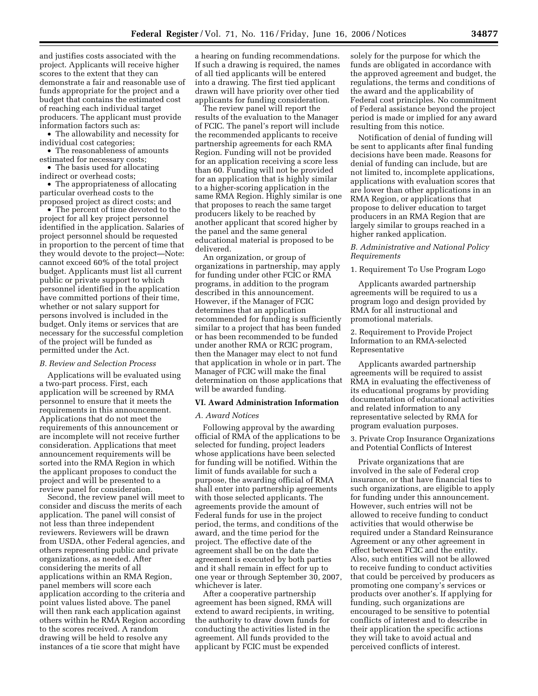and justifies costs associated with the project. Applicants will receive higher scores to the extent that they can demonstrate a fair and reasonable use of funds appropriate for the project and a budget that contains the estimated cost of reaching each individual target producers. The applicant must provide information factors such as:

• The allowability and necessity for individual cost categories;

• The reasonableness of amounts estimated for necessary costs;

• The basis used for allocating indirect or overhead costs;

• The appropriateness of allocating particular overhead costs to the proposed project as direct costs; and

• The percent of time devoted to the project for all key project personnel identified in the application. Salaries of project personnel should be requested in proportion to the percent of time that they would devote to the project—Note: cannot exceed 60% of the total project budget. Applicants must list all current public or private support to which personnel identified in the application have committed portions of their time, whether or not salary support for persons involved is included in the budget. Only items or services that are necessary for the successful completion of the project will be funded as permitted under the Act.

#### *B. Review and Selection Process*

Applications will be evaluated using a two-part process. First, each application will be screened by RMA personnel to ensure that it meets the requirements in this announcement. Applications that do not meet the requirements of this announcement or are incomplete will not receive further consideration. Applications that meet announcement requirements will be sorted into the RMA Region in which the applicant proposes to conduct the project and will be presented to a review panel for consideration.

Second, the review panel will meet to consider and discuss the merits of each application. The panel will consist of not less than three independent reviewers. Reviewers will be drawn from USDA, other Federal agencies, and others representing public and private organizations, as needed. After considering the merits of all applications within an RMA Region, panel members will score each application according to the criteria and point values listed above. The panel will then rank each application against others within he RMA Region according to the scores received. A random drawing will be held to resolve any instances of a tie score that might have

a hearing on funding recommendations. If such a drawing is required, the names of all tied applicants will be entered into a drawing. The first tied applicant drawn will have priority over other tied applicants for funding consideration.

The review panel will report the results of the evaluation to the Manager of FCIC. The panel's report will include the recommended applicants to receive partnership agreements for each RMA Region. Funding will not be provided for an application receiving a score less than 60. Funding will not be provided for an application that is highly similar to a higher-scoring application in the same RMA Region. Highly similar is one that proposes to reach the same target producers likely to be reached by another applicant that scored higher by the panel and the same general educational material is proposed to be delivered.

An organization, or group of organizations in partnership, may apply for funding under other FCIC or RMA programs, in addition to the program described in this announcement. However, if the Manager of FCIC determines that an application recommended for funding is sufficiently similar to a project that has been funded or has been recommended to be funded under another RMA or RCIC program, then the Manager may elect to not fund that application in whole or in part. The Manager of FCIC will make the final determination on those applications that will be awarded funding.

#### **VI. Award Administration Information**

### *A. Award Notices*

Following approval by the awarding official of RMA of the applications to be selected for funding, project leaders whose applications have been selected for funding will be notified. Within the limit of funds available for such a purpose, the awarding official of RMA shall enter into partnership agreements with those selected applicants. The agreements provide the amount of Federal funds for use in the project period, the terms, and conditions of the award, and the time period for the project. The effective date of the agreement shall be on the date the agreement is executed by both parties and it shall remain in effect for up to one year or through September 30, 2007, whichever is later.

After a cooperative partnership agreement has been signed, RMA will extend to award recipients, in writing, the authority to draw down funds for conducting the activities listed in the agreement. All funds provided to the applicant by FCIC must be expended

solely for the purpose for which the funds are obligated in accordance with the approved agreement and budget, the regulations, the terms and conditions of the award and the applicability of Federal cost principles. No commitment of Federal assistance beyond the project period is made or implied for any award resulting from this notice.

Notification of denial of funding will be sent to applicants after final funding decisions have been made. Reasons for denial of funding can include, but are not limited to, incomplete applications, applications with evaluation scores that are lower than other applications in an RMA Region, or applications that propose to deliver education to target producers in an RMA Region that are largely similar to groups reached in a higher ranked application.

## *B. Administrative and National Policy Requirements*

1. Requirement To Use Program Logo

Applicants awarded partnership agreements will be required to us a program logo and design provided by RMA for all instructional and promotional materials.

2. Requirement to Provide Project Information to an RMA-selected Representative

Applicants awarded partnership agreements will be required to assist RMA in evaluating the effectiveness of its educational programs by providing documentation of educational activities and related information to any representative selected by RMA for program evaluation purposes.

3. Private Crop Insurance Organizations and Potential Conflicts of Interest

Private organizations that are involved in the sale of Federal crop insurance, or that have financial ties to such organizations, are eligible to apply for funding under this announcement. However, such entries will not be allowed to receive funding to conduct activities that would otherwise be required under a Standard Reinsurance Agreement or any other agreement in effect between FCIC and the entity. Also, such entities will not be allowed to receive funding to conduct activities that could be perceived by producers as promoting one company's services or products over another's. If applying for funding, such organizations are encouraged to be sensitive to potential conflicts of interest and to describe in their application the specific actions they will take to avoid actual and perceived conflicts of interest.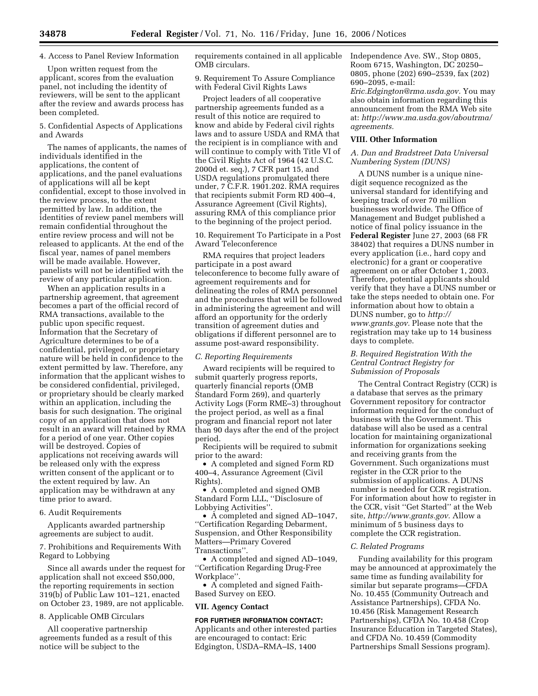# 4. Access to Panel Review Information

Upon written request from the applicant, scores from the evaluation panel, not including the identity of reviewers, will be sent to the applicant after the review and awards process has been completed.

5. Confidential Aspects of Applications and Awards

The names of applicants, the names of individuals identified in the applications, the content of applications, and the panel evaluations of applications will all be kept confidential, except to those involved in the review process, to the extent permitted by law. In addition, the identities of review panel members will remain confidential throughout the entire review process and will not be released to applicants. At the end of the fiscal year, names of panel members will be made available. However, panelists will not be identified with the review of any particular application.

When an application results in a partnership agreement, that agreement becomes a part of the official record of RMA transactions, available to the public upon specific request. Information that the Secretary of Agriculture determines to be of a confidential, privileged, or proprietary nature will be held in confidence to the extent permitted by law. Therefore, any information that the applicant wishes to be considered confidential, privileged, or proprietary should be clearly marked within an application, including the basis for such designation. The original copy of an application that does not result in an award will retained by RMA for a period of one year. Other copies will be destroyed. Copies of applications not receiving awards will be released only with the express written consent of the applicant or to the extent required by law. An application may be withdrawn at any time prior to award.

# 6. Audit Requirements

Applicants awarded partnership agreements are subject to audit.

7. Prohibitions and Requirements With Regard to Lobbying

Since all awards under the request for application shall not exceed \$50,000, the reporting requirements in section 319(b) of Public Law 101–121, enacted on October 23, 1989, are not applicable.

## 8. Applicable OMB Circulars

All cooperative partnership agreements funded as a result of this notice will be subject to the

requirements contained in all applicable OMB circulars.

9. Requirement To Assure Compliance with Federal Civil Rights Laws

Project leaders of all cooperative partnership agreements funded as a result of this notice are required to know and abide by Federal civil rights laws and to assure USDA and RMA that the recipient is in compliance with and will continue to comply with Title VI of the Civil Rights Act of 1964 (42 U.S.C. 2000d et. seq.), 7 CFR part 15, and USDA regulations promulgated there under, 7 C.F.R. 1901.202. RMA requires that recipients submit Form RD 400–4, Assurance Agreement (Civil Rights), assuring RMA of this compliance prior to the beginning of the project period.

### 10. Requirement To Participate in a Post Award Teleconference

RMA requires that project leaders participate in a post award teleconference to become fully aware of agreement requirements and for delineating the roles of RMA personnel and the procedures that will be followed in administering the agreement and will afford an opportunity for the orderly transition of agreement duties and obligations if different personnel are to assume post-award responsibility.

### *C. Reporting Requirements*

Award recipients will be required to submit quarterly progress reports, quarterly financial reports (OMB Standard Form 269), and quarterly Activity Logs (Form RME–3) throughout the project period, as well as a final program and financial report not later than 90 days after the end of the project period.

Recipients will be required to submit prior to the award:

• A completed and signed Form RD 400–4, Assurance Agreement (Civil Rights).

• A completed and signed OMB Standard Form LLL, ''Disclosure of Lobbying Activities''.

• A completed and signed AD–1047, ''Certification Regarding Debarment, Suspension, and Other Responsibility Matters—Primary Covered Transactions''.

• A completed and signed AD–1049, ''Certification Regarding Drug-Free Workplace''.

• A completed and signed Faith-Based Survey on EEO.

#### **VII. Agency Contact**

#### **FOR FURTHER INFORMATION CONTACT:**

Applicants and other interested parties are encouraged to contact: Eric Edgington, USDA–RMA–IS, 1400

Independence Ave. SW., Stop 0805, Room 6715, Washington, DC 20250– 0805, phone (202) 690–2539, fax (202) 690–2095, e-mail:

*Eric.Edgington@rma.usda.gov.* You may also obtain information regarding this announcement from the RMA Web site at: *http://www.ma.usda.gov/aboutrma/ agreements.* 

# **VIII. Other Information**

### *A. Dun and Bradstreet Data Universal Numbering System (DUNS)*

A DUNS number is a unique ninedigit sequence recognized as the universal standard for identifying and keeping track of over 70 million businesses worldwide. The Office of Management and Budget published a notice of final policy issuance in the **Federal Register** June 27, 2003 (68 FR 38402) that requires a DUNS number in every application (i.e., hard copy and electronic) for a grant or cooperative agreement on or after October 1, 2003. Therefore, potential applicants should verify that they have a DUNS number or take the steps needed to obtain one. For information about how to obtain a DUNS number, go to *http:// www.grants.gov.* Please note that the registration may take up to 14 business days to complete.

# *B. Required Registration With the Central Contract Registry for Submission of Proposals*

The Central Contract Registry (CCR) is a database that serves as the primary Government repository for contractor information required for the conduct of business with the Government. This database will also be used as a central location for maintaining organizational information for organizations seeking and receiving grants from the Government. Such organizations must register in the CCR prior to the submission of applications. A DUNS number is needed for CCR registration. For information about how to register in the CCR, visit ''Get Started'' at the Web site, *http://www.grants.gov.* Allow a minimum of 5 business days to complete the CCR registration.

### *C. Related Programs*

Funding availability for this program may be announced at approximately the same time as funding availability for similar but separate programs—CFDA No. 10.455 (Community Outreach and Assistance Partnerships), CFDA No. 10.456 (Risk Management Research Partnerships), CFDA No. 10.458 (Crop Insurance Education in Targeted States), and CFDA No. 10.459 (Commodity Partnerships Small Sessions program).